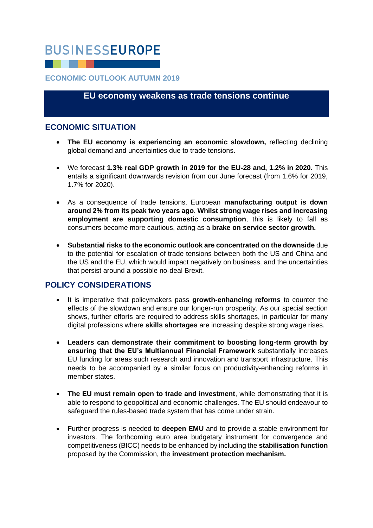# **BUSINESSEUROPE**

## **ECONOMIC OUTLOOK AUTUMN 2019**

## **EU economy weakens as trade tensions continue**

## **ECONOMIC SITUATION**

- **The EU economy is experiencing an economic slowdown,** reflecting declining global demand and uncertainties due to trade tensions.
- We forecast **1.3% real GDP growth in 2019 for the EU-28 and, 1.2% in 2020.** This entails a significant downwards revision from our June forecast (from 1.6% for 2019, 1.7% for 2020).
- As a consequence of trade tensions, European **manufacturing output is down around 2% from its peak two years ago**. **Whilst strong wage rises and increasing employment are supporting domestic consumption**, this is likely to fall as consumers become more cautious, acting as a **brake on service sector growth.**
- **Substantial risks to the economic outlook are concentrated on the downside** due to the potential for escalation of trade tensions between both the US and China and the US and the EU, which would impact negatively on business, and the uncertainties that persist around a possible no-deal Brexit.

## **POLICY CONSIDERATIONS**

- It is imperative that policymakers pass **growth-enhancing reforms** to counter the effects of the slowdown and ensure our longer-run prosperity. As our special section shows, further efforts are required to address skills shortages, in particular for many digital professions where **skills shortages** are increasing despite strong wage rises.
- **Leaders can demonstrate their commitment to boosting long-term growth by ensuring that the EU's Multiannual Financial Framework** substantially increases EU funding for areas such research and innovation and transport infrastructure. This needs to be accompanied by a similar focus on productivity-enhancing reforms in member states.
- **The EU must remain open to trade and investment**, while demonstrating that it is able to respond to geopolitical and economic challenges. The EU should endeavour to safeguard the rules-based trade system that has come under strain.
- Further progress is needed to **deepen EMU** and to provide a stable environment for investors. The forthcoming euro area budgetary instrument for convergence and competitiveness (BICC) needs to be enhanced by including the **stabilisation function** proposed by the Commission, the **investment protection mechanism.**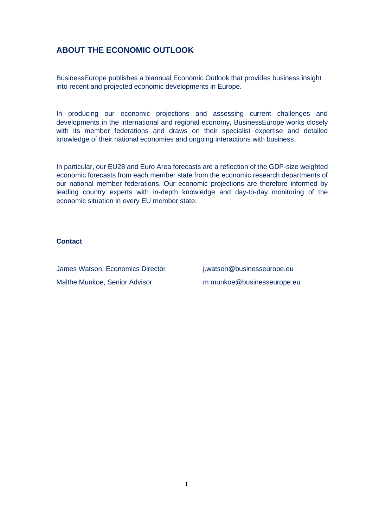# **ABOUT THE ECONOMIC OUTLOOK**

BusinessEurope publishes a biannual Economic Outlook that provides business insight into recent and projected economic developments in Europe.

In producing our economic projections and assessing current challenges and developments in the international and regional economy, BusinessEurope works closely with its member federations and draws on their specialist expertise and detailed knowledge of their national economies and ongoing interactions with business.

In particular, our EU28 and Euro Area forecasts are a reflection of the GDP-size weighted economic forecasts from each member state from the economic research departments of our national member federations. Our economic projections are therefore informed by leading country experts with in-depth knowledge and day-to-day monitoring of the economic situation in every EU member state.

#### **Contact**

James Watson, Economics Director i.watson@businesseurope.eu Malthe Munkoe, Senior Advisor m.munkoe@businesseurope.eu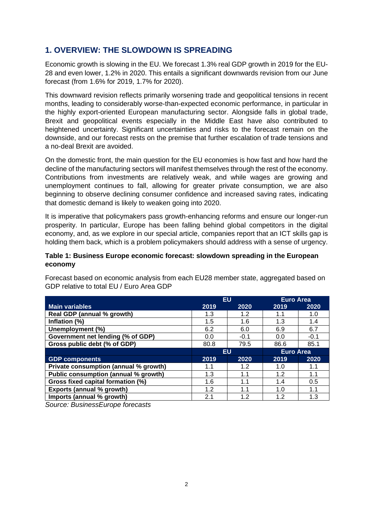# **1. OVERVIEW: THE SLOWDOWN IS SPREADING**

Economic growth is slowing in the EU. We forecast 1.3% real GDP growth in 2019 for the EU-28 and even lower, 1.2% in 2020. This entails a significant downwards revision from our June forecast (from 1.6% for 2019, 1.7% for 2020).

This downward revision reflects primarily worsening trade and geopolitical tensions in recent months, leading to considerably worse-than-expected economic performance, in particular in the highly export-oriented European manufacturing sector. Alongside falls in global trade, Brexit and geopolitical events especially in the Middle East have also contributed to heightened uncertainty. Significant uncertainties and risks to the forecast remain on the downside, and our forecast rests on the premise that further escalation of trade tensions and a no-deal Brexit are avoided.

On the domestic front, the main question for the EU economies is how fast and how hard the decline of the manufacturing sectors will manifest themselves through the rest of the economy. Contributions from investments are relatively weak, and while wages are growing and unemployment continues to fall, allowing for greater private consumption, we are also beginning to observe declining consumer confidence and increased saving rates, indicating that domestic demand is likely to weaken going into 2020.

It is imperative that policymakers pass growth-enhancing reforms and ensure our longer-run prosperity. In particular, Europe has been falling behind global competitors in the digital economy, and, as we explore in our special article, companies report that an ICT skills gap is holding them back, which is a problem policymakers should address with a sense of urgency.

#### **Table 1: Business Europe economic forecast: slowdown spreading in the European economy**

Forecast based on economic analysis from each EU28 member state, aggregated based on GDP relative to total EU / Euro Area GDP

|                                       | EU   |        | <b>Euro Area</b> |        |
|---------------------------------------|------|--------|------------------|--------|
| <b>Main variables</b>                 | 2019 | 2020   | 2019             | 2020   |
| Real GDP (annual % growth)            | 1.3  | 1.2    | 1.1              | 1.0    |
| Inflation (%)                         | 1.5  | 1.6    | 1.3              | 1.4    |
| Unemployment (%)                      | 6.2  | 6.0    | 6.9              | 6.7    |
| Government net lending (% of GDP)     | 0.0  | $-0.1$ | 0.0              | $-0.1$ |
| Gross public debt (% of GDP)          | 80.8 | 79.5   | 86.6             | 85.1   |
|                                       | EU   |        | <b>Euro Area</b> |        |
| <b>GDP components</b>                 | 2019 | 2020   | 2019             | 2020   |
| Private consumption (annual % growth) | 1.1  | 1.2    | 1.0              | 1.1    |
| Public consumption (annual % growth)  | 1.3  | 1.1    | 1.2              | 1.1    |
| Gross fixed capital formation (%)     | 1.6  | 1.1    | 1.4              | 0.5    |
| <b>Exports (annual % growth)</b>      | 1.2  | 1.1    | 1.0              | 1.1    |
|                                       |      |        |                  |        |

*Source: BusinessEurope forecasts*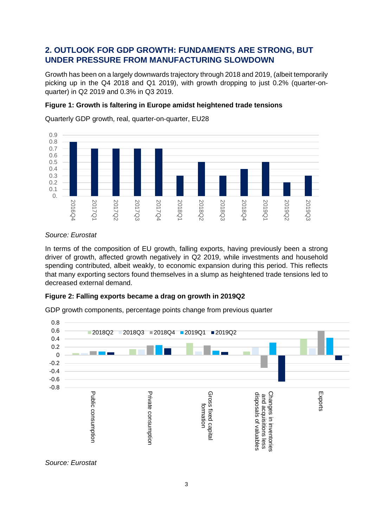# **2. OUTLOOK FOR GDP GROWTH: FUNDAMENTS ARE STRONG, BUT UNDER PRESSURE FROM MANUFACTURING SLOWDOWN**

Growth has been on a largely downwards trajectory through 2018 and 2019, (albeit temporarily picking up in the Q4 2018 and Q1 2019), with growth dropping to just 0.2% (quarter-onquarter) in Q2 2019 and 0.3% in Q3 2019.

## **Figure 1: Growth is faltering in Europe amidst heightened trade tensions**



Quarterly GDP growth, real, quarter-on-quarter, EU28

#### *Source: Eurostat*

In terms of the composition of EU growth, falling exports, having previously been a strong driver of growth, affected growth negatively in Q2 2019, while investments and household spending contributed, albeit weakly, to economic expansion during this period. This reflects that many exporting sectors found themselves in a slump as heightened trade tensions led to decreased external demand.

## **Figure 2: Falling exports became a drag on growth in 2019Q2**

GDP growth components, percentage points change from previous quarter



*Source: Eurostat*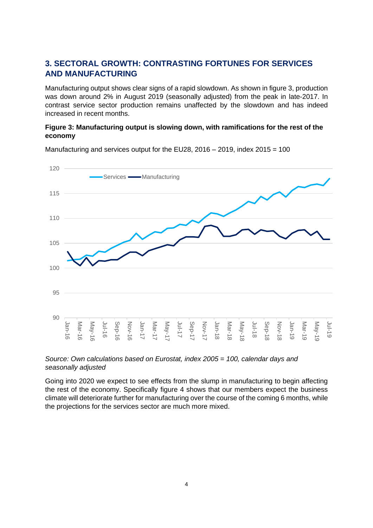# **3. SECTORAL GROWTH: CONTRASTING FORTUNES FOR SERVICES AND MANUFACTURING**

Manufacturing output shows clear signs of a rapid slowdown. As shown in figure 3, production was down around 2% in August 2019 (seasonally adjusted) from the peak in late-2017. In contrast service sector production remains unaffected by the slowdown and has indeed increased in recent months.

## **Figure 3: Manufacturing output is slowing down, with ramifications for the rest of the economy**



Manufacturing and services output for the EU28, 2016 – 2019, index 2015 = 100



Going into 2020 we expect to see effects from the slump in manufacturing to begin affecting the rest of the economy. Specifically figure 4 shows that our members expect the business climate will deteriorate further for manufacturing over the course of the coming 6 months, while the projections for the services sector are much more mixed.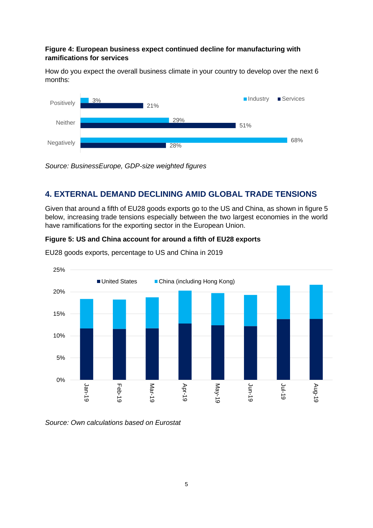#### **Figure 4: European business expect continued decline for manufacturing with ramifications for services**

How do you expect the overall business climate in your country to develop over the next 6 months:



*Source: BusinessEurope, GDP-size weighted figures*

# **4. EXTERNAL DEMAND DECLINING AMID GLOBAL TRADE TENSIONS**

Given that around a fifth of EU28 goods exports go to the US and China, as shown in figure 5 below, increasing trade tensions especially between the two largest economies in the world have ramifications for the exporting sector in the European Union.

## **Figure 5: US and China account for around a fifth of EU28 exports**



EU28 goods exports, percentage to US and China in 2019

*Source: Own calculations based on Eurostat*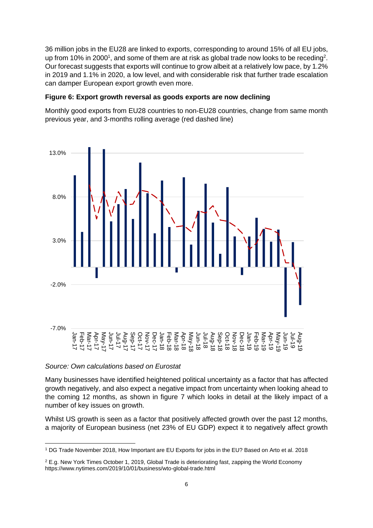36 million jobs in the EU28 are linked to exports, corresponding to around 15% of all EU jobs, up from 10% in 2000<sup>1</sup>, and some of them are at risk as global trade now looks to be receding<sup>2</sup>. Our forecast suggests that exports will continue to grow albeit at a relatively low pace, by 1.2% in 2019 and 1.1% in 2020, a low level, and with considerable risk that further trade escalation can damper European export growth even more.

#### **Figure 6: Export growth reversal as goods exports are now declining**

Monthly good exports from EU28 countries to non-EU28 countries, change from same month previous year, and 3-months rolling average (red dashed line)



#### *Source: Own calculations based on Eurostat*

Many businesses have identified heightened political uncertainty as a factor that has affected growth negatively, and also expect a negative impact from uncertainty when looking ahead to the coming 12 months, as shown in figure 7 which looks in detail at the likely impact of a number of key issues on growth.

Whilst US growth is seen as a factor that positively affected growth over the past 12 months, a majority of European business (net 23% of EU GDP) expect it to negatively affect growth

<sup>1</sup> DG Trade November 2018, How Important are EU Exports for jobs in the EU? Based on Arto et al. 2018

<sup>&</sup>lt;sup>2</sup> E.g. New York Times October 1, 2019, Global Trade is deteriorating fast, zapping the World Economy https://www.nytimes.com/2019/10/01/business/wto-global-trade.html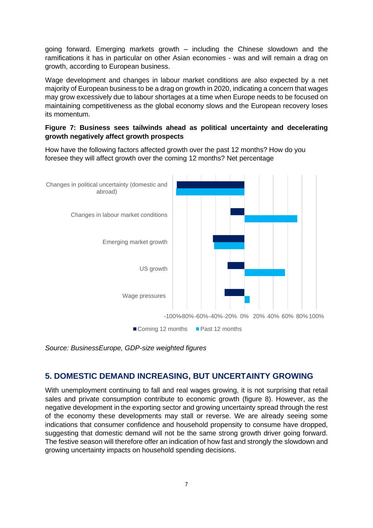going forward. Emerging markets growth – including the Chinese slowdown and the ramifications it has in particular on other Asian economies - was and will remain a drag on growth, according to European business.

Wage development and changes in labour market conditions are also expected by a net majority of European business to be a drag on growth in 2020, indicating a concern that wages may grow excessively due to labour shortages at a time when Europe needs to be focused on maintaining competitiveness as the global economy slows and the European recovery loses its momentum.

#### **Figure 7: Business sees tailwinds ahead as political uncertainty and decelerating growth negatively affect growth prospects**

How have the following factors affected growth over the past 12 months? How do you foresee they will affect growth over the coming 12 months? Net percentage



*Source: BusinessEurope, GDP-size weighted figures*

## **5. DOMESTIC DEMAND INCREASING, BUT UNCERTAINTY GROWING**

With unemployment continuing to fall and real wages growing, it is not surprising that retail sales and private consumption contribute to economic growth (figure 8). However, as the negative development in the exporting sector and growing uncertainty spread through the rest of the economy these developments may stall or reverse. We are already seeing some indications that consumer confidence and household propensity to consume have dropped, suggesting that domestic demand will not be the same strong growth driver going forward. The festive season will therefore offer an indication of how fast and strongly the slowdown and growing uncertainty impacts on household spending decisions.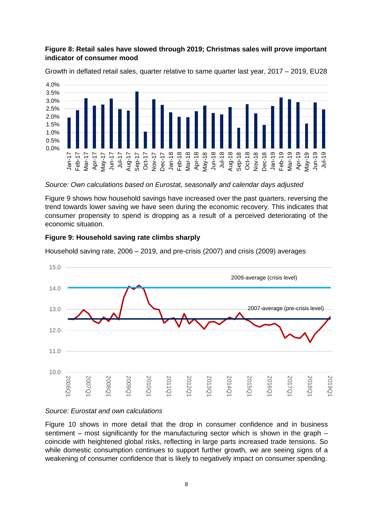#### **Figure 8: Retail sales have slowed through 2019; Christmas sales will prove important indicator of consumer mood**



Growth in deflated retail sales, quarter relative to same quarter last year, 2017 – 2019, EU28

*Source: Own calculations based on Eurostat, seasonally and calendar days adjusted*

Figure 9 shows how household savings have increased over the past quarters, reversing the trend towards lower saving we have seen during the economic recovery. This indicates that consumer propensity to spend is dropping as a result of a perceived deteriorating of the economic situation.

#### **Figure 9: Household saving rate climbs sharply**

Household saving rate, 2006 – 2019, and pre-crisis (2007) and crisis (2009) averages



## *Source: Eurostat and own calculations*

Figure 10 shows in more detail that the drop in consumer confidence and in business sentiment – most significantly for the manufacturing sector which is shown in the graph – coincide with heightened global risks, reflecting in large parts increased trade tensions. So while domestic consumption continues to support further growth, we are seeing signs of a weakening of consumer confidence that is likely to negatively impact on consumer spending.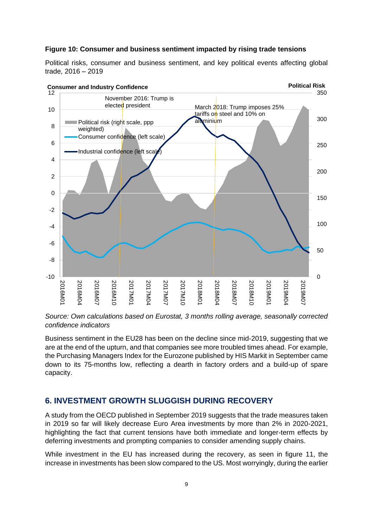#### **Figure 10: Consumer and business sentiment impacted by rising trade tensions**

Political risks, consumer and business sentiment, and key political events affecting global trade, 2016 – 2019



*Source: Own calculations based on Eurostat, 3 months rolling average, seasonally corrected confidence indicators*

Business sentiment in the EU28 has been on the decline since mid-2019, suggesting that we are at the end of the upturn, and that companies see more troubled times ahead. For example, the Purchasing Managers Index for the Eurozone published by HIS Markit in September came down to its 75-months low, reflecting a dearth in factory orders and a build-up of spare capacity.

## **6. INVESTMENT GROWTH SLUGGISH DURING RECOVERY**

A study from the OECD published in September 2019 suggests that the trade measures taken in 2019 so far will likely decrease Euro Area investments by more than 2% in 2020-2021, highlighting the fact that current tensions have both immediate and longer-term effects by deferring investments and prompting companies to consider amending supply chains.

While investment in the EU has increased during the recovery, as seen in figure 11, the increase in investments has been slow compared to the US. Most worryingly, during the earlier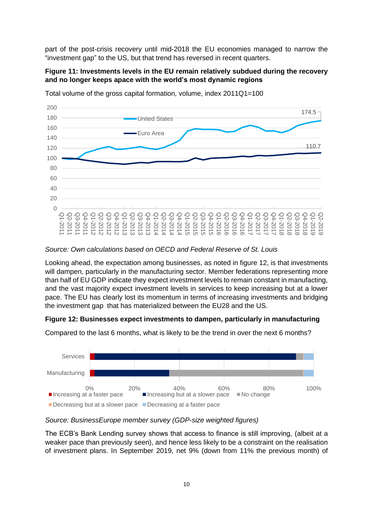part of the post-crisis recovery until mid-2018 the EU economies managed to narrow the "investment gap" to the US, but that trend has reversed in recent quarters.

#### **Figure 11: Investments levels in the EU remain relatively subdued during the recovery and no longer keeps apace with the world's most dynamic regions**



Total volume of the gross capital formation, volume, index 2011Q1=100

#### *Source: Own calculations based on OECD and Federal Reserve of St. Louis*

Looking ahead, the expectation among businesses, as noted in figure 12, is that investments will dampen, particularly in the manufacturing sector. Member federations representing more than half of EU GDP indicate they expect investment levels to remain constant in manufacting, and the vast majority expect investment levels in services to keep increasing but at a lower pace. The EU has clearly lost its momentum in terms of increasing investments and bridging the investment gap that has materialized between the EU28 and the US.

#### **Figure 12: Businesses expect investments to dampen, particularly in manufacturing**



Compared to the last 6 months, what is likely to be the trend in over the next 6 months?

*Source: BusinessEurope member survey (GDP-size weighted figures)*

The ECB's Bank Lending survey shows that access to finance is still improving, (albeit at a weaker pace than previously seen), and hence less likely to be a constraint on the realisation of investment plans. In September 2019, net 9% (down from 11% the previous month) of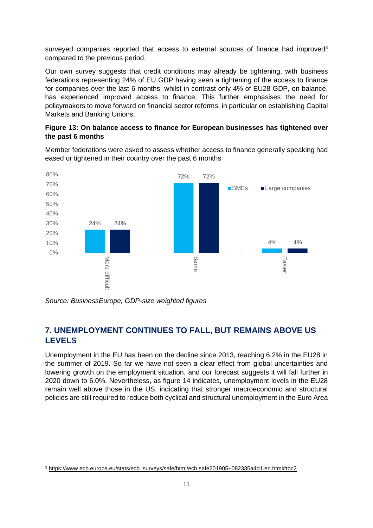surveyed companies reported that access to external sources of finance had improved<sup>3</sup> compared to the previous period.

Our own survey suggests that credit conditions may already be tightening, with business federations representing 24% of EU GDP having seen a tightening of the access to finance for companies over the last 6 months, whilst in contrast only 4% of EU28 GDP, on balance, has experienced improved access to finance. This further emphasises the need for policymakers to move forward on financial sector reforms, in particular on establishing Capital Markets and Banking Unions.

#### **Figure 13: On balance access to finance for European businesses has tightened over the past 6 months**

Member federations were asked to assess whether access to finance generally speaking had eased or tightened in their country over the past 6 months



*Source: BusinessEurope, GDP-size weighted figures*

# **7. UNEMPLOYMENT CONTINUES TO FALL, BUT REMAINS ABOVE US LEVELS**

Unemployment in the EU has been on the decline since 2013, reaching 6.2% in the EU28 in the summer of 2019. So far we have not seen a clear effect from global uncertainties and lowering growth on the employment situation, and our forecast suggests it will fall further in 2020 down to 6.0%. Nevertheless, as figure 14 indicates, unemployment levels in the EU28 remain well above those in the US, indicating that stronger macroeconomic and structural policies are still required to reduce both cyclical and structural unemployment in the Euro Area

<sup>3</sup> [https://www.ecb.europa.eu/stats/ecb\\_surveys/safe/html/ecb.safe201905~082335a4d1.en.html#toc2](https://www.ecb.europa.eu/stats/ecb_surveys/safe/html/ecb.safe201905~082335a4d1.en.html#toc2)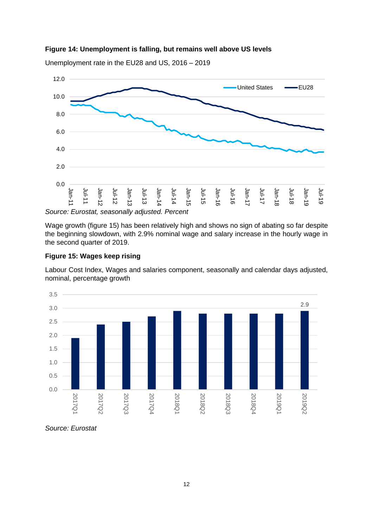



Unemployment rate in the EU28 and US, 2016 – 2019

Wage growth (figure 15) has been relatively high and shows no sign of abating so far despite the beginning slowdown, with 2.9% nominal wage and salary increase in the hourly wage in the second quarter of 2019.

#### **Figure 15: Wages keep rising**

Labour Cost Index, Wages and salaries component, seasonally and calendar days adjusted, nominal, percentage growth



#### *Source: Eurostat*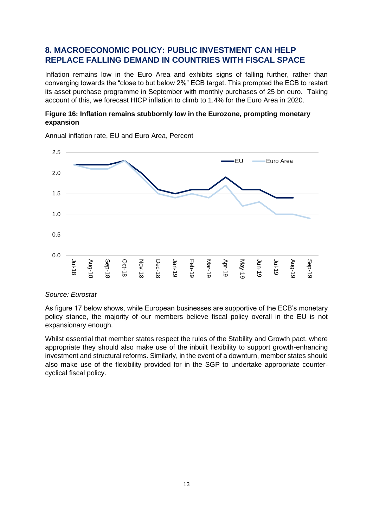# **8. MACROECONOMIC POLICY: PUBLIC INVESTMENT CAN HELP REPLACE FALLING DEMAND IN COUNTRIES WITH FISCAL SPACE**

Inflation remains low in the Euro Area and exhibits signs of falling further, rather than converging towards the "close to but below 2%" ECB target. This prompted the ECB to restart its asset purchase programme in September with monthly purchases of 25 bn euro. Taking account of this, we forecast HICP inflation to climb to 1.4% for the Euro Area in 2020.

## **Figure 16: Inflation remains stubbornly low in the Eurozone, prompting monetary expansion**



Annual inflation rate, EU and Euro Area, Percent

#### *Source: Eurostat*

As figure 17 below shows, while European businesses are supportive of the ECB's monetary policy stance, the majority of our members believe fiscal policy overall in the EU is not expansionary enough.

Whilst essential that member states respect the rules of the Stability and Growth pact, where appropriate they should also make use of the inbuilt flexibility to support growth-enhancing investment and structural reforms. Similarly, in the event of a downturn, member states should also make use of the flexibility provided for in the SGP to undertake appropriate countercyclical fiscal policy.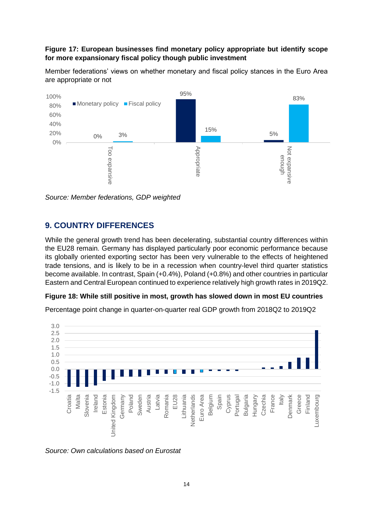#### **Figure 17: European businesses find monetary policy appropriate but identify scope for more expansionary fiscal policy though public investment**

Member federations' views on whether monetary and fiscal policy stances in the Euro Area are appropriate or not



*Source: Member federations, GDP weighted*

## **9. COUNTRY DIFFERENCES**

While the general growth trend has been decelerating, substantial country differences within the EU28 remain. Germany has displayed particularly poor economic performance because its globally oriented exporting sector has been very vulnerable to the effects of heightened trade tensions, and is likely to be in a recession when country-level third quarter statistics become available. In contrast, Spain (+0.4%), Poland (+0.8%) and other countries in particular Eastern and Central European continued to experience relatively high growth rates in 2019Q2.

#### **Figure 18: While still positive in most, growth has slowed down in most EU countries**

Percentage point change in quarter-on-quarter real GDP growth from 2018Q2 to 2019Q2



*Source: Own calculations based on Eurostat*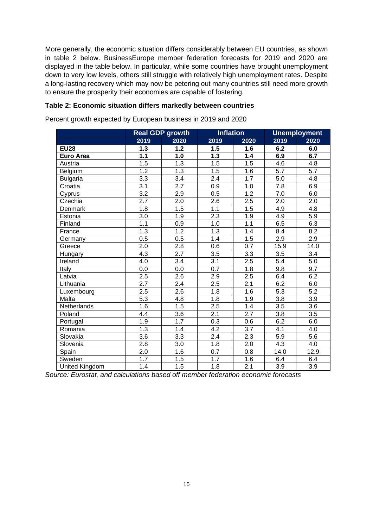More generally, the economic situation differs considerably between EU countries, as shown in table 2 below. BusinessEurope member federation forecasts for 2019 and 2020 are displayed in the table below. In particular, while some countries have brought unemployment down to very low levels, others still struggle with relatively high unemployment rates. Despite a long-lasting recovery which may now be petering out many countries still need more growth to ensure the prosperity their economies are capable of fostering.

#### **Table 2: Economic situation differs markedly between countries**

Percent growth expected by European business in 2019 and 2020

|                       | <b>Real GDP growth</b> |                  | <b>Inflation</b> |                  | <b>Unemployment</b> |                  |
|-----------------------|------------------------|------------------|------------------|------------------|---------------------|------------------|
|                       | 2019                   | 2020             | 2019             | 2020             | 2019                | 2020             |
| <b>EU28</b>           | 1.3                    | $1.2$            | 1.5              | 1.6              | 6.2                 | 6.0              |
| <b>Euro Area</b>      | 1.1                    | 1.0              | 1.3              | 1.4              | 6.9                 | 6.7              |
| Austria               | 1.5                    | 1.3              | 1.5              | 1.5              | 4.6                 | 4.8              |
| Belgium               | 1.2                    | 1.3              | 1.5              | 1.6              | 5.7                 | 5.7              |
| <b>Bulgaria</b>       | 3.3                    | 3.4              | $\overline{2.4}$ | $\overline{1.7}$ | 5.0                 | 4.8              |
| Croatia               | 3.1                    | 2.7              | 0.9              | 1.0              | 7.8                 | 6.9              |
| Cyprus                | 3.2                    | 2.9              | 0.5              | 1.2              | 7.0                 | 6.0              |
| Czechia               | $\overline{2.7}$       | $\overline{2.0}$ | $\overline{2.6}$ | $\overline{2.5}$ | $\overline{2.0}$    | $\overline{2.0}$ |
| Denmark               | 1.8                    | 1.5              | 1.1              | 1.5              | 4.9                 | 4.8              |
| Estonia               | 3.0                    | $\overline{1.9}$ | $2.\overline{3}$ | 1.9              | 4.9                 | 5.9              |
| Finland               | 1.1                    | 0.9              | 1.0              | 1.1              | 6.5                 | 6.3              |
| France                | 1.3                    | 1.2              | 1.3              | 1.4              | 8.4                 | 8.2              |
| Germany               | 0.5                    | 0.5              | 1.4              | 1.5              | 2.9                 | 2.9              |
| Greece                | 2.0                    | 2.8              | 0.6              | 0.7              | 15.9                | 14.0             |
| Hungary               | 4.3                    | $\overline{2.7}$ | 3.5              | 3.3              | 3.5                 | 3.4              |
| Ireland               | 4.0                    | 3.4              | 3.1              | 2.5              | 5.4                 | 5.0              |
| Italy                 | 0.0                    | 0.0              | 0.7              | 1.8              | 9.8                 | 9.7              |
| Latvia                | $\overline{2.5}$       | 2.6              | 2.9              | 2.5              | 6.4                 | 6.2              |
| Lithuania             | 2.7                    | 2.4              | 2.5              | 2.1              | 6.2                 | 6.0              |
| Luxembourg            | 2.5                    | 2.6              | 1.8              | 1.6              | 5.3                 | 5.2              |
| Malta                 | $\overline{5.3}$       | 4.8              | 1.8              | 1.9              | 3.8                 | 3.9              |
| Netherlands           | 1.6                    | 1.5              | $2.\overline{5}$ | 1.4              | 3.5                 | 3.6              |
| Poland                | 4.4                    | 3.6              | 2.1              | 2.7              | 3.8                 | 3.5              |
| Portugal              | 1.9                    | $\overline{1.7}$ | 0.3              | 0.6              | 6.2                 | 6.0              |
| Romania               | 1.3                    | 1.4              | 4.2              | 3.7              | 4.1                 | 4.0              |
| Slovakia              | 3.6                    | 3.3              | 2.4              | 2.3              | 5.9                 | 5.6              |
| Slovenia              | $\overline{2.8}$       | 3.0              | 1.8              | 2.0              | 4.3                 | 4.0              |
| Spain                 | 2.0                    | 1.6              | 0.7              | 0.8              | 14.0                | 12.9             |
| Sweden                | 1.7                    | 1.5              | 1.7              | 1.6              | 6.4                 | 6.4              |
| <b>United Kingdom</b> | 1.4                    | 1.5              | 1.8              | $\overline{2.1}$ | $\overline{3.9}$    | $\overline{3.9}$ |

*Source: Eurostat, and calculations based off member federation economic forecasts*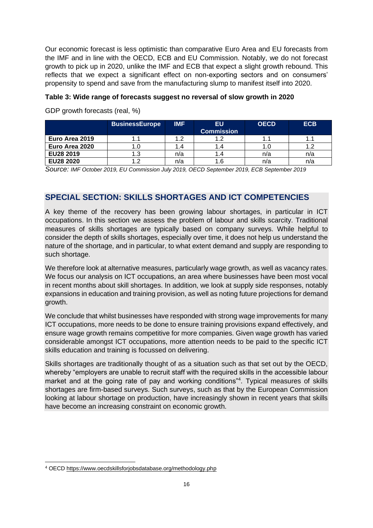Our economic forecast is less optimistic than comparative Euro Area and EU forecasts from the IMF and in line with the OECD, ECB and EU Commission. Notably, we do not forecast growth to pick up in 2020, unlike the IMF and ECB that expect a slight growth rebound. This reflects that we expect a significant effect on non-exporting sectors and on consumers' propensity to spend and save from the manufacturing slump to manifest itself into 2020.

## **Table 3: Wide range of forecasts suggest no reversal of slow growth in 2020**

|                  | <b>BusinessEurope</b> | <b>IMF</b> | <b>EU</b><br><b>Commission</b> | <b>OECD</b> | <b>ECB</b> |
|------------------|-----------------------|------------|--------------------------------|-------------|------------|
| Euro Area 2019   |                       |            | 1.2                            |             |            |
| Euro Area 2020   |                       |            | l .4                           | 1.0         |            |
| EU28 2019        |                       | n/a        | l .4                           | n/a         | n/a        |
| <b>EU28 2020</b> | c                     | n/a        | .6                             | n/a         | n/a        |

GDP growth forecasts (real, %)

*Source: IMF October 2019, EU Commission July 2019, OECD September 2019, ECB September 2019* 

## **SPECIAL SECTION: SKILLS SHORTAGES AND ICT COMPETENCIES**

A key theme of the recovery has been growing labour shortages, in particular in ICT occupations. In this section we assess the problem of labour and skills scarcity. Traditional measures of skills shortages are typically based on company surveys. While helpful to consider the depth of skills shortages, especially over time, it does not help us understand the nature of the shortage, and in particular, to what extent demand and supply are responding to such shortage.

We therefore look at alternative measures, particularly wage growth, as well as vacancy rates. We focus our analysis on ICT occupations, an area where businesses have been most vocal in recent months about skill shortages. In addition, we look at supply side responses, notably expansions in education and training provision, as well as noting future projections for demand growth.

We conclude that whilst businesses have responded with strong wage improvements for many ICT occupations, more needs to be done to ensure training provisions expand effectively, and ensure wage growth remains competitive for more companies. Given wage growth has varied considerable amongst ICT occupations, more attention needs to be paid to the specific ICT skills education and training is focussed on delivering.

Skills shortages are traditionally thought of as a situation such as that set out by the OECD, whereby "employers are unable to recruit staff with the required skills in the accessible labour market and at the going rate of pay and working conditions"<sup>4</sup>. Typical measures of skills shortages are firm-based surveys. Such surveys, such as that by the European Commission looking at labour shortage on production, have increasingly shown in recent years that skills have become an increasing constraint on economic growth.

<sup>4</sup> OECD<https://www.oecdskillsforjobsdatabase.org/methodology.php>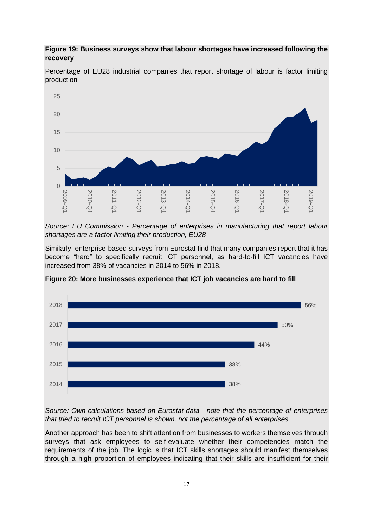## **Figure 19: Business surveys show that labour shortages have increased following the recovery**



Percentage of EU28 industrial companies that report shortage of labour is factor limiting production

*Source: EU Commission - Percentage of enterprises in manufacturing that report labour shortages are a factor limiting their production, EU28* 

Similarly, enterprise-based surveys from Eurostat find that many companies report that it has become "hard" to specifically recruit ICT personnel, as hard-to-fill ICT vacancies have increased from 38% of vacancies in 2014 to 56% in 2018.



**Figure 20: More businesses experience that ICT job vacancies are hard to fill** 

*Source: Own calculations based on Eurostat data - note that the percentage of enterprises that tried to recruit ICT personnel is shown, not the percentage of all enterprises.* 

Another approach has been to shift attention from businesses to workers themselves through surveys that ask employees to self-evaluate whether their competencies match the requirements of the job. The logic is that ICT skills shortages should manifest themselves through a high proportion of employees indicating that their skills are insufficient for their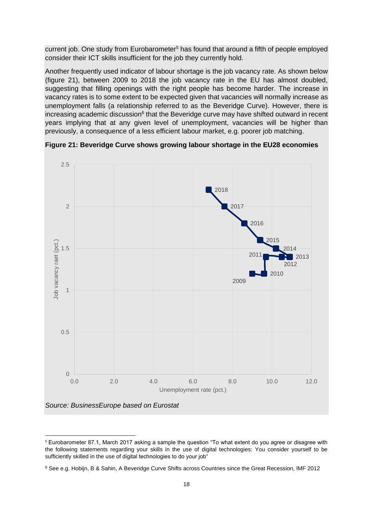current job. One study from Eurobarometer<sup>5</sup> has found that around a fifth of people employed consider their ICT skills insufficient for the job they currently hold.

Another frequently used indicator of labour shortage is the job vacancy rate. As shown below (figure 21), between 2009 to 2018 the job vacancy rate in the EU has almost doubled, suggesting that filling openings with the right people has become harder. The increase in vacancy rates is to some extent to be expected given that vacancies will normally increase as unemployment falls (a relationship referred to as the Beveridge Curve). However, there is increasing academic discussion<sup>6</sup> that the Beveridge curve may have shifted outward in recent years implying that at any given level of unemployment, vacancies will be higher than previously, a consequence of a less efficient labour market, e.g. poorer job matching.



**Figure 21: Beveridge Curve shows growing labour shortage in the EU28 economies**

<sup>5</sup> Eurobarometer 87.1, March 2017 asking a sample the question "To what extent do you agree or disagree with the following statements regarding your skills in the use of digital technologies: You consider yourself to be sufficiently skilled in the use of digital technologies to do your job"

<sup>6</sup> See e.g. Hobijn, B & Sahin, A Beveridge Curve Shifts across Countries since the Great Recession, IMF 2012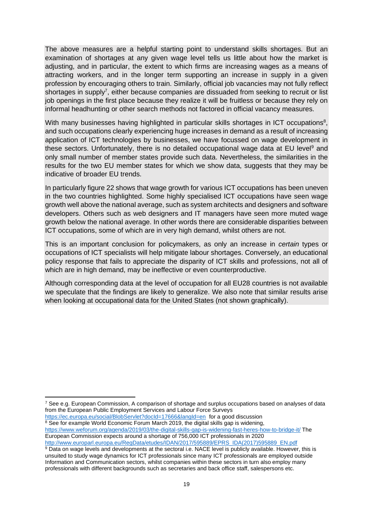The above measures are a helpful starting point to understand skills shortages. But an examination of shortages at any given wage level tells us little about how the market is adjusting, and in particular, the extent to which firms are increasing wages as a means of attracting workers, and in the longer term supporting an increase in supply in a given profession by encouraging others to train. Similarly, official job vacancies may not fully reflect shortages in supply<sup>7</sup>, either because companies are dissuaded from seeking to recruit or list job openings in the first place because they realize it will be fruitless or because they rely on informal headhunting or other search methods not factored in official vacancy measures.

With many businesses having highlighted in particular skills shortages in ICT occupations<sup>8</sup>, and such occupations clearly experiencing huge increases in demand as a result of increasing application of ICT technologies by businesses, we have focussed on wage development in these sectors. Unfortunately, there is no detailed occupational wage data at EU level<sup>9</sup> and only small number of member states provide such data. Nevertheless, the similarities in the results for the two EU member states for which we show data, suggests that they may be indicative of broader EU trends.

In particularly figure 22 shows that wage growth for various ICT occupations has been uneven in the two countries highlighted. Some highly specialised ICT occupations have seen wage growth well above the national average, such as system architects and designers and software developers. Others such as web designers and IT managers have seen more muted wage growth below the national average. In other words there are considerable disparities between ICT occupations, some of which are in very high demand, whilst others are not.

This is an important conclusion for policymakers, as only an increase in *certain* types or occupations of ICT specialists will help mitigate labour shortages. Conversely, an educational policy response that fails to appreciate the disparity of ICT skills and professions, not all of which are in high demand, may be ineffective or even counterproductive.

Although corresponding data at the level of occupation for all EU28 countries is not available we speculate that the findings are likely to generalize. We also note that similar results arise when looking at occupational data for the United States (not shown graphically).

- <https://ec.europa.eu/social/BlobServlet?docId=17666&langId=en>for a good discussion
- $8$  See for example World Economic Forum March 2019, the digital skills gap is widening, <https://www.weforum.org/agenda/2019/03/the-digital-skills-gap-is-widening-fast-heres-how-to-bridge-it/> The European Commission expects around a shortage of 756,000 ICT professionals in 2020 [http://www.europarl.europa.eu/RegData/etudes/IDAN/2017/595889/EPRS\\_IDA\(2017\)595889\\_EN.pdf](http://www.europarl.europa.eu/RegData/etudes/IDAN/2017/595889/EPRS_IDA(2017)595889_EN.pdf)

 $7$  See e.g. European Commission, A comparison of shortage and surplus occupations based on analyses of data from the European Public Employment Services and Labour Force Surveys

<sup>9</sup> Data on wage levels and developments at the sectoral i.e. NACE level is publicly available. However, this is unsuited to study wage dynamics for ICT professionals since many ICT professionals are employed outside Information and Communication sectors, whilst companies within these sectors in turn also employ many professionals with different backgrounds such as secretaries and back office staff, salespersons etc.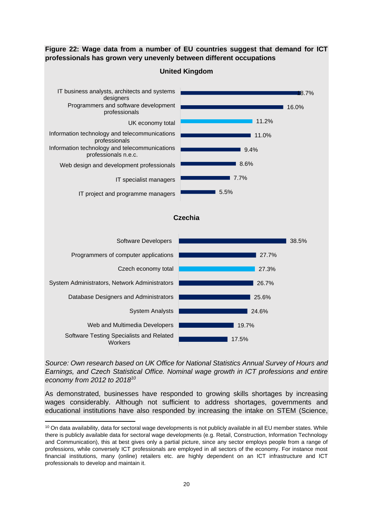**Figure 22: Wage data from a number of EU countries suggest that demand for ICT professionals has grown very unevenly between different occupations**



*Source: Own research based on UK Office for National Statistics Annual Survey of Hours and Earnings, and Czech Statistical Office. Nominal wage growth in ICT professions and entire economy from 2012 to 2018<sup>10</sup>*

As demonstrated, businesses have responded to growing skills shortages by increasing wages considerably. Although not sufficient to address shortages, governments and educational institutions have also responded by increasing the intake on STEM (Science,

<sup>&</sup>lt;sup>10</sup> On data availability, data for sectoral wage developments is not publicly available in all EU member states. While there is publicly available data for sectoral wage developments (e.g. Retail, Construction, Information Technology and Communication), this at best gives only a partial picture, since any sector employs people from a range of professions, while conversely ICT professionals are employed in all sectors of the economy. For instance most financial institutions, many (online) retailers etc. are highly dependent on an ICT infrastructure and ICT professionals to develop and maintain it.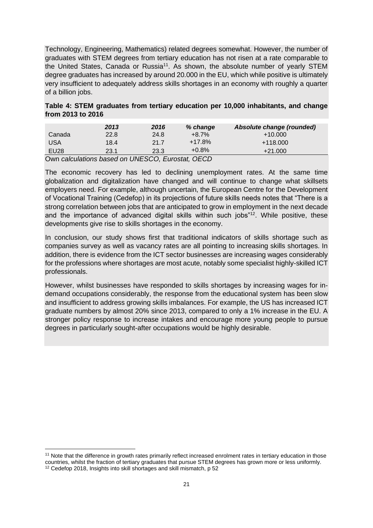Technology, Engineering, Mathematics) related degrees somewhat. However, the number of graduates with STEM degrees from tertiary education has not risen at a rate comparable to the United States, Canada or Russia<sup>11</sup>, As shown, the absolute number of yearly STEM degree graduates has increased by around 20.000 in the EU, which while positive is ultimately very insufficient to adequately address skills shortages in an economy with roughly a quarter of a billion jobs.

#### **Table 4: STEM graduates from tertiary education per 10,000 inhabitants, and change from 2013 to 2016**

|        | 2013 | 2016 | % change | Absolute change (rounded) |
|--------|------|------|----------|---------------------------|
| Canada | 22.8 | 24.8 | $+8.7\%$ | $+10.000$                 |
| USA    | 18.4 | 21.7 | $+17.8%$ | $+118.000$                |
| EU28   | 23.1 | 23.3 | $+0.8%$  | $+21.000$                 |
|        |      |      |          |                           |

Own *calculations based on UNESCO, Eurostat, OECD*

The economic recovery has led to declining unemployment rates. At the same time globalization and digitalization have changed and will continue to change what skillsets employers need. For example, although uncertain, the European Centre for the Development of Vocational Training (Cedefop) in its projections of future skills needs notes that "There is a strong correlation between jobs that are anticipated to grow in employment in the next decade and the importance of advanced digital skills within such jobs"<sup>12</sup>. While positive, these developments give rise to skills shortages in the economy.

In conclusion, our study shows first that traditional indicators of skills shortage such as companies survey as well as vacancy rates are all pointing to increasing skills shortages. In addition, there is evidence from the ICT sector businesses are increasing wages considerably for the professions where shortages are most acute, notably some specialist highly-skilled ICT professionals.

However, whilst businesses have responded to skills shortages by increasing wages for indemand occupations considerably, the response from the educational system has been slow and insufficient to address growing skills imbalances. For example, the US has increased ICT graduate numbers by almost 20% since 2013, compared to only a 1% increase in the EU. A stronger policy response to increase intakes and encourage more young people to pursue degrees in particularly sought-after occupations would be highly desirable.

<sup>&</sup>lt;sup>11</sup> Note that the difference in growth rates primarily reflect increased enrolment rates in tertiary education in those countries, whilst the fraction of tertiary graduates that pursue STEM degrees has grown more or less uniformly. <sup>12</sup> Cedefop 2018, Insights into skill shortages and skill mismatch, p 52